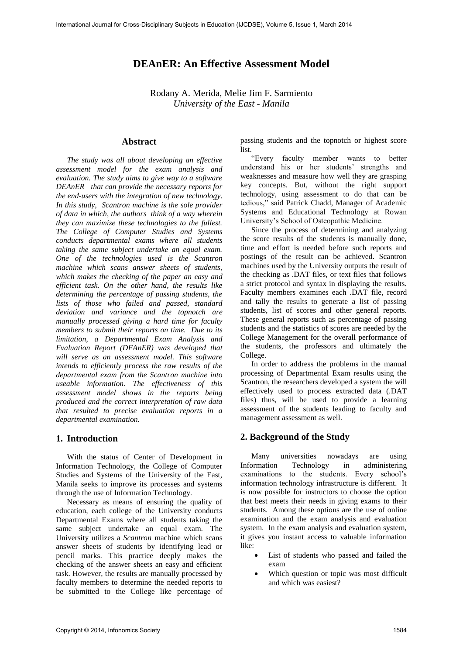# **DEAnER: An Effective Assessment Model**

Rodany A. Merida, Melie Jim F. Sarmiento *University of the East - Manila* 

## **Abstract**

*The study was all about developing an effective assessment model for the exam analysis and evaluation. The study aims to give way to a software DEAnER that can provide the necessary reports for the end-users with the integration of new technology. In this study, Scantron machine is the sole provider of data in which, the authors think of a way wherein they can maximize these technologies to the fullest. The College of Computer Studies and Systems conducts departmental exams where all students taking the same subject undertake an equal exam. One of the technologies used is the Scantron machine which scans answer sheets of students, which makes the checking of the paper an easy and efficient task. On the other hand, the results like determining the percentage of passing students, the lists of those who failed and passed, standard deviation and variance and the topnotch are manually processed giving a hard time for faculty members to submit their reports on time. Due to its limitation, a Departmental Exam Analysis and Evaluation Report (DEAnER) was developed that will serve as an assessment model. This software intends to efficiently process the raw results of the departmental exam from the Scantron machine into useable information. The effectiveness of this assessment model shows in the reports being produced and the correct interpretation of raw data that resulted to precise evaluation reports in a departmental examination.* 

# **1. Introduction**

With the status of Center of Development in Information Technology, the College of Computer Studies and Systems of the University of the East, Manila seeks to improve its processes and systems through the use of Information Technology.

Necessary as means of ensuring the quality of education, each college of the University conducts Departmental Exams where all students taking the same subject undertake an equal exam. The University utilizes a *Scantron* machine which scans answer sheets of students by identifying lead or pencil marks. This practice deeply makes the checking of the answer sheets an easy and efficient task. However, the results are manually processed by faculty members to determine the needed reports to be submitted to the College like percentage of

passing students and the topnotch or highest score list.

"Every faculty member wants to better understand his or her students' strengths and weaknesses and measure how well they are grasping key concepts. But, without the right support technology, using assessment to do that can be tedious," said Patrick Chadd, Manager of Academic Systems and Educational Technology at Rowan University's School of Osteopathic Medicine.

Since the process of determining and analyzing the score results of the students is manually done, time and effort is needed before such reports and postings of the result can be achieved. Scantron machines used by the University outputs the result of the checking as .DAT files, or text files that follows a strict protocol and syntax in displaying the results. Faculty members examines each .DAT file, record and tally the results to generate a list of passing students, list of scores and other general reports. These general reports such as percentage of passing students and the statistics of scores are needed by the College Management for the overall performance of the students, the professors and ultimately the College.

In order to address the problems in the manual processing of Departmental Exam results using the Scantron, the researchers developed a system the will effectively used to process extracted data (.DAT files) thus, will be used to provide a learning assessment of the students leading to faculty and management assessment as well.

## **2. Background of the Study**

Many universities nowadays are using Information Technology in administering examinations to the students. Every school's information technology infrastructure is different. It is now possible for instructors to choose the option that best meets their needs in giving exams to their students. Among these options are the use of online examination and the exam analysis and evaluation system. In the exam analysis and evaluation system, it gives you instant access to valuable information like:

- List of students who passed and failed the exam
- Which question or topic was most difficult and which was easiest?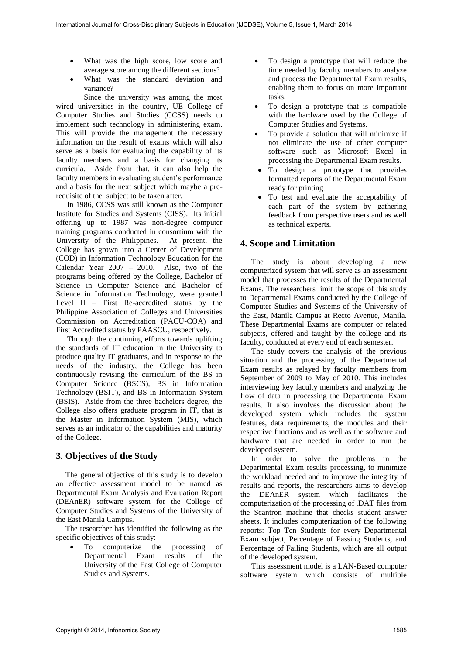- What was the high score, low score and average score among the different sections?
- What was the standard deviation and variance?

Since the university was among the most wired universities in the country, UE College of Computer Studies and Studies (CCSS) needs to implement such technology in administering exam. This will provide the management the necessary information on the result of exams which will also serve as a basis for evaluating the capability of its faculty members and a basis for changing its curricula. Aside from that, it can also help the faculty members in evaluating student's performance and a basis for the next subject which maybe a prerequisite of the subject to be taken after.

In 1986, CCSS was still known as the Computer Institute for Studies and Systems (CISS). Its initial offering up to 1987 was non-degree computer training programs conducted in consortium with the University of the Philippines. At present, the College has grown into a Center of Development (COD) in Information Technology Education for the Calendar Year 2007 – 2010. Also, two of the programs being offered by the College, Bachelor of Science in Computer Science and Bachelor of Science in Information Technology, were granted Level II – First Re-accredited status by the Philippine Association of Colleges and Universities Commission on Accreditation (PACU-COA) and First Accredited status by PAASCU, respectively.

Through the continuing efforts towards uplifting the standards of IT education in the University to produce quality IT graduates, and in response to the needs of the industry, the College has been continuously revising the curriculum of the BS in Computer Science (BSCS), BS in Information Technology (BSIT), and BS in Information System (BSIS). Aside from the three bachelors degree, the College also offers graduate program in IT, that is the Master in Information System (MIS), which serves as an indicator of the capabilities and maturity of the College.

## **3. Objectives of the Study**

The general objective of this study is to develop an effective assessment model to be named as Departmental Exam Analysis and Evaluation Report (DEAnER) software system for the College of Computer Studies and Systems of the University of the East Manila Campus.

The researcher has identified the following as the specific objectives of this study:

 To computerize the processing of Departmental Exam results of the University of the East College of Computer Studies and Systems.

- To design a prototype that will reduce the time needed by faculty members to analyze and process the Departmental Exam results, enabling them to focus on more important tasks.
- To design a prototype that is compatible with the hardware used by the College of Computer Studies and Systems.
- To provide a solution that will minimize if not eliminate the use of other computer software such as Microsoft Excel in processing the Departmental Exam results.
- To design a prototype that provides formatted reports of the Departmental Exam ready for printing.
- To test and evaluate the acceptability of each part of the system by gathering feedback from perspective users and as well as technical experts.

# **4. Scope and Limitation**

The study is about developing a new computerized system that will serve as an assessment model that processes the results of the Departmental Exams. The researchers limit the scope of this study to Departmental Exams conducted by the College of Computer Studies and Systems of the University of the East, Manila Campus at Recto Avenue, Manila. These Departmental Exams are computer or related subjects, offered and taught by the college and its faculty, conducted at every end of each semester.

The study covers the analysis of the previous situation and the processing of the Departmental Exam results as relayed by faculty members from September of 2009 to May of 2010. This includes interviewing key faculty members and analyzing the flow of data in processing the Departmental Exam results. It also involves the discussion about the developed system which includes the system features, data requirements, the modules and their respective functions and as well as the software and hardware that are needed in order to run the developed system.

In order to solve the problems in the Departmental Exam results processing, to minimize the workload needed and to improve the integrity of results and reports, the researchers aims to develop the DEAnER system which facilitates the computerization of the processing of .DAT files from the Scantron machine that checks student answer sheets. It includes computerization of the following reports: Top Ten Students for every Departmental Exam subject, Percentage of Passing Students, and Percentage of Failing Students, which are all output of the developed system.

This assessment model is a LAN-Based computer software system which consists of multiple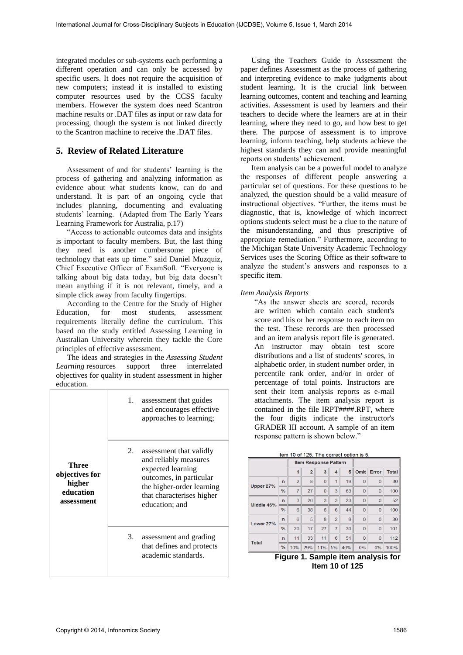integrated modules or sub-systems each performing a different operation and can only be accessed by specific users. It does not require the acquisition of new computers; instead it is installed to existing computer resources used by the CCSS faculty members. However the system does need Scantron machine results or .DAT files as input or raw data for processing, though the system is not linked directly to the Scantron machine to receive the .DAT files.

# **5. Review of Related Literature**

Assessment of and for students' learning is the process of gathering and analyzing information as evidence about what students know, can do and understand. It is part of an ongoing cycle that includes planning, documenting and evaluating students' learning. (Adapted from The Early Years Learning Framework for Australia, p.17)

"Access to actionable outcomes data and insights is important to faculty members. But, the last thing they need is another cumbersome piece of technology that eats up time." said Daniel Muzquiz, Chief Executive Officer of ExamSoft. "Everyone is talking about big data today, but big data doesn't mean anything if it is not relevant, timely, and a simple click away from faculty fingertips.

According to the Centre for the Study of Higher Education, for most students, assessment requirements literally define the curriculum. This based on the study entitled Assessing Learning in Australian University wherein they tackle the Core principles of effective assessment.

The ideas and strategies in the *Assessing Student Learning* resources support three interrelated objectives for quality in student assessment in higher education.

|                                                              | 1. | assessment that guides<br>and encourages effective<br>approaches to learning;                                                                                                |
|--------------------------------------------------------------|----|------------------------------------------------------------------------------------------------------------------------------------------------------------------------------|
| Three<br>objectives for<br>higher<br>education<br>assessment | 2. | assessment that validly<br>and reliably measures<br>expected learning<br>outcomes, in particular<br>the higher-order learning<br>that characterises higher<br>education; and |
|                                                              | 3. | assessment and grading<br>that defines and protects<br>academic standards.                                                                                                   |

Using the Teachers Guide to Assessment the paper defines Assessment as the process of gathering and interpreting evidence to make judgments about student learning. It is the crucial link between learning outcomes, content and teaching and learning activities. Assessment is used by learners and their teachers to decide where the learners are at in their learning, where they need to go, and how best to get there. The purpose of assessment is to improve learning, inform teaching, help students achieve the highest standards they can and provide meaningful reports on students' achievement.

Item analysis can be a powerful model to analyze the responses of different people answering a particular set of questions. For these questions to be analyzed, the question should be a valid measure of instructional objectives. "Further, the items must be diagnostic, that is, knowledge of which incorrect options students select must be a clue to the nature of the misunderstanding, and thus prescriptive of appropriate remediation." Furthermore, according to the Michigan State University Academic Technology Services uses the Scoring Office as their software to analyze the student's answers and responses to a specific item*.* 

### *Item Analysis Reports*

"As the answer sheets are scored, records are written which contain each student's score and his or her response to each item on the test. These records are then processed and an item analysis report file is generated. An instructor may obtain test score distributions and a list of students' scores, in alphabetic order, in student number order, in percentile rank order, and/or in order of percentage of total points. Instructors are sent their item analysis reports as e-mail attachments. The item analysis report is contained in the file IRPT####.RPT, where the four digits indicate the instructor's GRADER III account. A sample of an item response pattern is shown below."

|  |  |  | Item 10 of 125. The correct option is 5. |  |  |
|--|--|--|------------------------------------------|--|--|
|  |  |  |                                          |  |  |

|              |               | <b>Item Response Pattern</b> |                |                |                |     |                |                |              |
|--------------|---------------|------------------------------|----------------|----------------|----------------|-----|----------------|----------------|--------------|
|              |               | 1                            | $\overline{2}$ | 3              | $\overline{4}$ | 5   | Omit           | Error          | <b>Total</b> |
| Upper 27%    | $\mathbf{r}$  | $\overline{2}$               | 8              | $\overline{0}$ | 1              | 19  | $\overline{0}$ | $\overline{0}$ | 30           |
|              | $\frac{9}{6}$ | 7                            | 27             | $\overline{0}$ | 3              | 63  | $\Omega$       | $\overline{0}$ | 100          |
| Middle 46%   | $\mathbf{r}$  | 3                            | 20             | 3              | 3              | 23  | $\overline{0}$ | $\overline{0}$ | 52           |
|              | $\frac{0}{6}$ | 6                            | 38             | 6              | 6              | 44  | $\overline{0}$ | $\overline{0}$ | 100          |
| Lower 27%    | $\mathsf{n}$  | 6                            | 5              | 8              | $\overline{2}$ | 9   | $\Omega$       | $\Omega$       | 30           |
|              | $\frac{9}{6}$ | 20                           | 17             | 27             | $\overline{7}$ | 30  | $\overline{0}$ | $\overline{0}$ | 101          |
| <b>Total</b> | $\mathbf{r}$  | 11                           | 33             | 11             | 6              | 51  | $\overline{0}$ | $\overline{0}$ | 112          |
|              | $\frac{0}{6}$ | 10%                          | 29%            | 11%            | 5%             | 46% | 0%             | 0%             | 100%         |

**Figure 1. Sample item analysis for Item 10 of 125**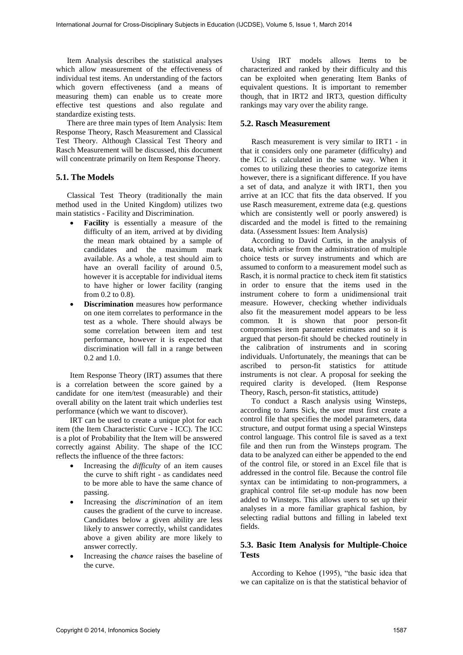Item Analysis describes the statistical analyses which allow measurement of the effectiveness of individual test items. An understanding of the factors which govern effectiveness (and a means of measuring them) can enable us to create more effective test questions and also regulate and standardize existing tests.

There are three main types of Item Analysis: Item Response Theory, Rasch Measurement and Classical Test Theory. Although Classical Test Theory and Rasch Measurement will be discussed, this document will concentrate primarily on Item Response Theory.

## **5.1. The Models**

Classical Test Theory (traditionally the main method used in the United Kingdom) utilizes two main statistics - Facility and Discrimination.

- **Facility** is essentially a measure of the difficulty of an item, arrived at by dividing the mean mark obtained by a sample of candidates and the maximum mark available. As a whole, a test should aim to have an overall facility of around 0.5, however it is acceptable for individual items to have higher or lower facility (ranging from 0.2 to 0.8).
- **Discrimination** measures how performance on one item correlates to performance in the test as a whole. There should always be some correlation between item and test performance, however it is expected that discrimination will fall in a range between 0.2 and 1.0.

Item Response Theory (IRT) assumes that there is a correlation between the score gained by a candidate for one item/test (measurable) and their overall ability on the latent trait which underlies test performance (which we want to discover).

IRT can be used to create a unique plot for each item (the Item Characteristic Curve - ICC). The ICC is a plot of Probability that the Item will be answered correctly against Ability. The shape of the ICC reflects the influence of the three factors:

- Increasing the *difficulty* of an item causes the curve to shift right - as candidates need to be more able to have the same chance of passing.
- Increasing the *discrimination* of an item causes the gradient of the curve to increase. Candidates below a given ability are less likely to answer correctly, whilst candidates above a given ability are more likely to answer correctly.
- Increasing the *chance* raises the baseline of the curve.

Using IRT models allows Items to be characterized and ranked by their difficulty and this can be exploited when generating Item Banks of equivalent questions. It is important to remember though, that in IRT2 and IRT3, question difficulty rankings may vary over the ability range.

## **5.2. Rasch Measurement**

Rasch measurement is very similar to IRT1 - in that it considers only one parameter (difficulty) and the ICC is calculated in the same way. When it comes to utilizing these theories to categorize items however, there is a significant difference. If you have a set of data, and analyze it with IRT1, then you arrive at an ICC that fits the data observed. If you use Rasch measurement, extreme data (e.g. questions which are consistently well or poorly answered) is discarded and the model is fitted to the remaining data. (Assessment Issues: Item Analysis)

According to David Curtis, in the analysis of data, which arise from the administration of multiple choice tests or survey instruments and which are assumed to conform to a measurement model such as Rasch, it is normal practice to check item fit statistics in order to ensure that the items used in the instrument cohere to form a unidimensional trait measure. However, checking whether individuals also fit the measurement model appears to be less common. It is shown that poor person-fit compromises item parameter estimates and so it is argued that person-fit should be checked routinely in the calibration of instruments and in scoring individuals. Unfortunately, the meanings that can be ascribed to person-fit statistics for attitude instruments is not clear. A proposal for seeking the required clarity is developed. (Item Response Theory, Rasch, person-fit statistics, attitude)

To conduct a Rasch analysis using Winsteps, according to Jams Sick, the user must first create a control file that specifies the model parameters, data structure, and output format using a special Winsteps control language. This control file is saved as a text file and then run from the Winsteps program. The data to be analyzed can either be appended to the end of the control file, or stored in an Excel file that is addressed in the control file. Because the control file syntax can be intimidating to non-programmers, a graphical control file set-up module has now been added to Winsteps. This allows users to set up their analyses in a more familiar graphical fashion, by selecting radial buttons and filling in labeled text fields.

## **5.3. Basic Item Analysis for Multiple-Choice Tests**

According to Kehoe (1995), "the basic idea that we can capitalize on is that the statistical behavior of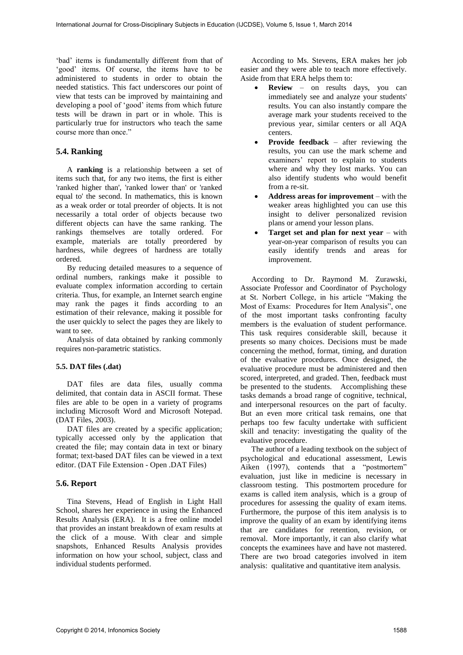'bad' items is fundamentally different from that of 'good' items. Of course, the items have to be administered to students in order to obtain the needed statistics. This fact underscores our point of view that tests can be improved by maintaining and developing a pool of 'good' items from which future tests will be drawn in part or in whole. This is particularly true for instructors who teach the same course more than once."

## **5.4. Ranking**

A **ranking** is a relationship between a set of items such that, for any two items, the first is either 'ranked higher than', 'ranked lower than' or 'ranked equal to' the second. In [mathematics,](http://en.wikipedia.org/wiki/Order_theory) this is known as a [weak order or total preorder](http://en.wikipedia.org/wiki/Strict_weak_ordering#Total_preorders) of objects. It is not necessarily a [total order](http://en.wikipedia.org/wiki/Total_order) of objects because two different objects can have the same ranking. The rankings themselves are totally ordered. For example, materials are totally preordered by [hardness,](http://en.wikipedia.org/wiki/Hardness_%28materials_science%29) while degrees of hardness are totally ordered.

By reducing detailed measures to a sequence of [ordinal numbers,](http://en.wikipedia.org/wiki/Ordinal_numbers) rankings make it possible to evaluate complex information according to certain criteria. Thus, for example, an Internet search engine may rank the pages it finds according to an estimation of their [relevance,](http://en.wikipedia.org/wiki/Relevance) making it possible for the user quickly to select the pages they are likely to want to see.

Analysis of data obtained by ranking commonly require[s non-parametric statistics.](http://en.wikipedia.org/wiki/Non-parametric_statistics)

### **5.5. DAT files (.dat)**

DAT files are data files, usually comma delimited, that contain data in ASCII format. These files are able to be open in a variety of programs including Microsoft Word and Microsoft Notepad. (DAT Files, 2003).

DAT files are created by a specific application; typically accessed only by the application that created the file; may contain data in text or binary format; text-based DAT files can be viewed in a text editor. (DAT File Extension - Open .DAT Files)

### **5.6. Report**

Tina Stevens, Head of English in Light Hall School, shares her experience in using the Enhanced Results Analysis (ERA). It is a free online model that provides an instant breakdown of exam results at the click of a mouse. With clear and simple snapshots, Enhanced Results Analysis provides information on how your school, subject, class and individual students performed.

According to Ms. Stevens, ERA makes her job easier and they were able to teach more effectively. Aside from that ERA helps them to:

- **Review** on results days, you can immediately see and analyze your students' results. You can also instantly compare the average mark your students received to the previous year, similar centers or all AQA centers.
- **Provide feedback** after reviewing the results, you can use the mark scheme and examiners' report to explain to students where and why they lost marks. You can also identify students who would benefit from a re-sit.
- **Address areas for improvement** with the weaker areas highlighted you can use this insight to deliver personalized revision plans or amend your lesson plans.
- **Target set and plan for next year** with year-on-year comparison of results you can easily identify trends and areas for improvement.

According to Dr. Raymond M. Zurawski, Associate Professor and Coordinator of Psychology at St. Norbert College, in his article "Making the Most of Exams: Procedures for Item Analysis", one of the most important tasks confronting faculty members is the evaluation of student performance. This task requires considerable skill, because it presents so many choices. Decisions must be made concerning the method, format, timing, and duration of the evaluative procedures. Once designed, the evaluative procedure must be administered and then scored, interpreted, and graded. Then, feedback must be presented to the students. Accomplishing these tasks demands a broad range of cognitive, technical, and interpersonal resources on the part of faculty. But an even more critical task remains, one that perhaps too few faculty undertake with sufficient skill and tenacity: investigating the quality of the evaluative procedure.

The author of a leading textbook on the subject of psychological and educational assessment, Lewis Aiken (1997), contends that a "postmortem" evaluation, just like in medicine is necessary in classroom testing. This postmortem procedure for exams is called item analysis, which is a group of procedures for assessing the quality of exam items. Furthermore, the purpose of this item analysis is to improve the quality of an exam by identifying items that are candidates for retention, revision, or removal. More importantly, it can also clarify what concepts the examinees have and have not mastered. There are two broad categories involved in item analysis: qualitative and quantitative item analysis.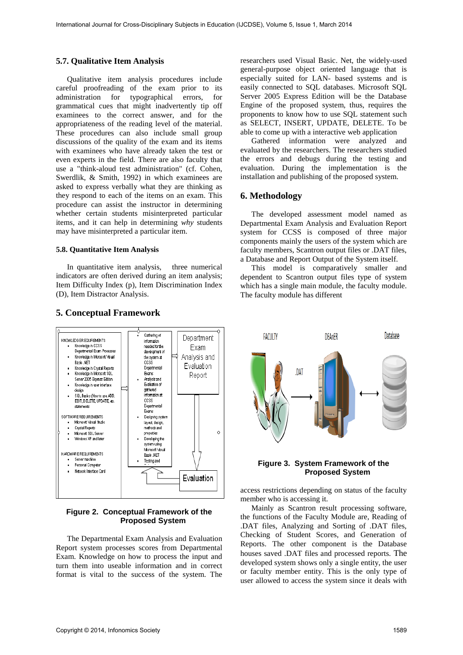#### **5.7. Qualitative Item Analysis**

Qualitative item analysis procedures include careful proofreading of the exam prior to its administration for typographical errors, for grammatical cues that might inadvertently tip off examinees to the correct answer, and for the appropriateness of the reading level of the material. These procedures can also include small group discussions of the quality of the exam and its items with examinees who have already taken the test or even experts in the field. There are also faculty that use a "think-aloud test administration" (cf. Cohen, Swerdlik, & Smith, 1992) in which examinees are asked to express verbally what they are thinking as they respond to each of the items on an exam. This procedure can assist the instructor in determining whether certain students misinterpreted particular items, and it can help in determining *why* students may have misinterpreted a particular item.

#### **5.8. Quantitative Item Analysis**

In quantitative item analysis, three numerical indicators are often derived during an item analysis; Item Difficulty Index (p), Item Discrimination Index (D), Item Distractor Analysis.



## **5. Conceptual Framework**

## **Figure 2. Conceptual Framework of the Proposed System**

The Departmental Exam Analysis and Evaluation Report system processes scores from Departmental Exam. Knowledge on how to process the input and turn them into useable information and in correct format is vital to the success of the system. The

researchers used Visual Basic. Net, the widely-used general-purpose object oriented language that is especially suited for LAN- based systems and is easily connected to SQL databases. Microsoft SQL Server 2005 Express Edition will be the Database Engine of the proposed system, thus, requires the proponents to know how to use SQL statement such as SELECT, INSERT, UPDATE, DELETE. To be able to come up with a interactive web application

Gathered information were analyzed and evaluated by the researchers. The researchers studied the errors and debugs during the testing and evaluation. During the implementation is the installation and publishing of the proposed system.

### **6. Methodology**

The developed assessment model named as Departmental Exam Analysis and Evaluation Report system for CCSS is composed of three major components mainly the users of the system which are faculty members, Scantron output files or .DAT files, a Database and Report Output of the System itself.

This model is comparatively smaller and dependent to Scantron output files type of system which has a single main module, the faculty module. The faculty module has different



### **Figure 3. System Framework of the Proposed System**

access restrictions depending on status of the faculty member who is accessing it.

Mainly as Scantron result processing software, the functions of the Faculty Module are, Reading of .DAT files, Analyzing and Sorting of .DAT files, Checking of Student Scores, and Generation of Reports. The other component is the Database houses saved .DAT files and processed reports. The developed system shows only a single entity, the user or faculty member entity. This is the only type of user allowed to access the system since it deals with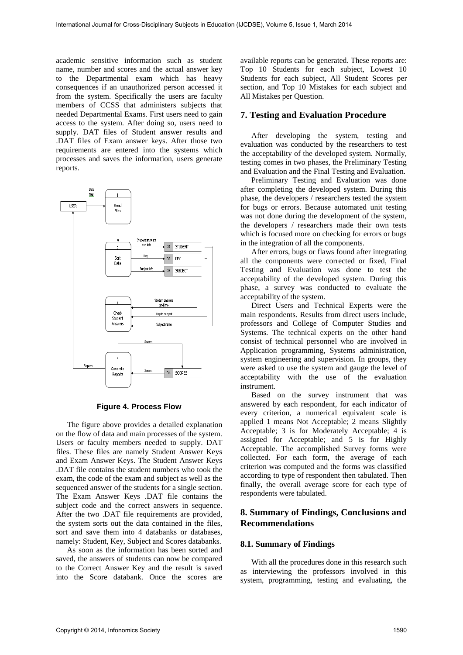academic sensitive information such as student name, number and scores and the actual answer key to the Departmental exam which has heavy consequences if an unauthorized person accessed it from the system. Specifically the users are faculty members of CCSS that administers subjects that needed Departmental Exams. First users need to gain access to the system. After doing so, users need to supply. DAT files of Student answer results and .DAT files of Exam answer keys. After those two requirements are entered into the systems which processes and saves the information, users generate reports.



#### **Figure 4. Process Flow**

The figure above provides a detailed explanation on the flow of data and main processes of the system. Users or faculty members needed to supply. DAT files. These files are namely Student Answer Keys and Exam Answer Keys. The Student Answer Keys .DAT file contains the student numbers who took the exam, the code of the exam and subject as well as the sequenced answer of the students for a single section. The Exam Answer Keys .DAT file contains the subject code and the correct answers in sequence. After the two .DAT file requirements are provided, the system sorts out the data contained in the files, sort and save them into 4 databanks or databases, namely: Student, Key, Subject and Scores databanks.

As soon as the information has been sorted and saved, the answers of students can now be compared to the Correct Answer Key and the result is saved into the Score databank. Once the scores are

available reports can be generated. These reports are: Top 10 Students for each subject, Lowest 10 Students for each subject, All Student Scores per section, and Top 10 Mistakes for each subject and All Mistakes per Question.

### **7. Testing and Evaluation Procedure**

After developing the system, testing and evaluation was conducted by the researchers to test the acceptability of the developed system. Normally, testing comes in two phases, the Preliminary Testing and Evaluation and the Final Testing and Evaluation.

Preliminary Testing and Evaluation was done after completing the developed system. During this phase, the developers / researchers tested the system for bugs or errors. Because automated unit testing was not done during the development of the system, the developers / researchers made their own tests which is focused more on checking for errors or bugs in the integration of all the components.

After errors, bugs or flaws found after integrating all the components were corrected or fixed, Final Testing and Evaluation was done to test the acceptability of the developed system. During this phase, a survey was conducted to evaluate the acceptability of the system.

Direct Users and Technical Experts were the main respondents. Results from direct users include, professors and College of Computer Studies and Systems. The technical experts on the other hand consist of technical personnel who are involved in Application programming, Systems administration, system engineering and supervision. In groups, they were asked to use the system and gauge the level of acceptability with the use of the evaluation instrument.

Based on the survey instrument that was answered by each respondent, for each indicator of every criterion, a numerical equivalent scale is applied 1 means Not Acceptable; 2 means Slightly Acceptable; 3 is for Moderately Acceptable; 4 is assigned for Acceptable; and 5 is for Highly Acceptable. The accomplished Survey forms were collected. For each form, the average of each criterion was computed and the forms was classified according to type of respondent then tabulated. Then finally, the overall average score for each type of respondents were tabulated.

# **8. Summary of Findings, Conclusions and Recommendations**

## **8.1. Summary of Findings**

With all the procedures done in this research such as interviewing the professors involved in this system, programming, testing and evaluating, the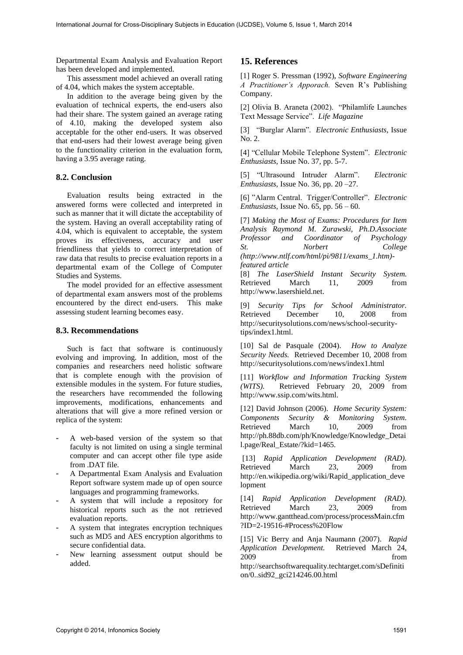Departmental Exam Analysis and Evaluation Report has been developed and implemented.

This assessment model achieved an overall rating of 4.04, which makes the system acceptable.

In addition to the average being given by the evaluation of technical experts, the end-users also had their share. The system gained an average rating of 4.10, making the developed system also acceptable for the other end-users. It was observed that end-users had their lowest average being given to the functionality criterion in the evaluation form, having a 3.95 average rating.

## **8.2. Conclusion**

Evaluation results being extracted in the answered forms were collected and interpreted in such as manner that it will dictate the acceptability of the system. Having an overall acceptability rating of 4.04, which is equivalent to acceptable, the system proves its effectiveness, accuracy and user friendliness that yields to correct interpretation of raw data that results to precise evaluation reports in a departmental exam of the College of Computer Studies and Systems.

The model provided for an effective assessment of departmental exam answers most of the problems encountered by the direct end-users. This make assessing student learning becomes easy.

## **8.3. Recommendations**

Such is fact that software is continuously evolving and improving. In addition, most of the companies and researchers need holistic software that is complete enough with the provision of extensible modules in the system. For future studies, the researchers have recommended the following improvements, modifications, enhancements and alterations that will give a more refined version or replica of the system:

- A web-based version of the system so that faculty is not limited on using a single terminal computer and can accept other file type aside from .DAT file.
- A Departmental Exam Analysis and Evaluation Report software system made up of open source languages and programming frameworks.
- A system that will include a repository for historical reports such as the not retrieved evaluation reports.
- A system that integrates encryption techniques such as MD5 and AES encryption algorithms to secure confidential data.
- New learning assessment output should be added.

# **15. References**

[1] Roger S. Pressman (1992), *Software Engineering A Practitioner's Apporach.* Seven R's Publishing Company.

[2] Olivia B. Araneta (2002). "Philamlife Launches Text Message Service". *Life Magazine* 

[3] "Burglar Alarm". *Electronic Enthusiasts,* Issue No. 2.

[4] "Cellular Mobile Telephone System". *Electronic Enthusiasts,* Issue No. 37, pp. 5-7.

[5] "Ultrasound Intruder Alarm". *Electronic Enthusiasts,* Issue No. 36, pp. 20 –27.

[6] "Alarm Central. Trigger/Controller". *Electronic Enthusiasts,* Issue No. 65, pp. 56 – 60.

[7] *Making the Most of Exams: Procedures for Item Analysis Raymond M. Zurawski, Ph.D.Associate Professor and Coordinator of Psychology St. Norbert College [\(http://www.ntlf.com/html/pi/9811/exams\\_1.htm\)](http://www.ntlf.com/html/pi/9811/exams_1.htm)-featured) [featured](http://www.ntlf.com/html/pi/9811/exams_1.htm)-featured) article* 

[8] *The LaserShield Instant Security System.*  Retrieved March 11, 2009 from [http://www.lasershield.net.](http://www.lasershield.net/)

[9] *Security Tips for School Administrator.*  Retrieved December 10, 2008 from [http://securitysolutions.com/news/school-security](http://securitysolutions.com/news/school-security-tips/index1.html)[tips/index1.html.](http://securitysolutions.com/news/school-security-tips/index1.html)

[10] Sal de Pasquale (2004). *How to Analyze Security Needs.* Retrieved December 10, 2008 from <http://securitysolutions.com/news/index1.html>

[11] *Workflow and Information Tracking System (WITS).* Retrieved February 20, 2009 from [http://www.ssip.com/wits.html.](http://www.ssip.com/wits.html)

[12] David Johnson (2006). *Home Security System: Components Security & Monitoring System.*  Retrieved March 10, 2009 from http://ph.88db.com/ph/Knowledge/Knowledge\_Detai l.page/Real\_Estate/?kid=1465.

 [13] *Rapid Application Development (RAD).*  Retrieved March 23, 2009 from [http://en.wikipedia.org/wiki/Rapid\\_application\\_deve](http://en.wikipedia.org/wiki/Rapid_application_development) [lopment](http://en.wikipedia.org/wiki/Rapid_application_development)

[14] *Rapid Application Development (RAD).*  Retrieved March 23, 2009 from [http://www.gantthead.com/process/processMain.cfm](http://www.gantthead.com/process/processMain.cfm?ID=2-19516-2#Process%20Flow) [?ID=2-19516-#Process%20Flow](http://www.gantthead.com/process/processMain.cfm?ID=2-19516-2#Process%20Flow)

[15] Vic Berry and Anja Naumann (2007). *Rapid Application Development.* Retrieved March 24, 2009 from

[http://searchsoftwarequality.techtarget.com/sDefiniti](http://searchsoftwarequality.techtarget.com/sDefinition/0..sid92_gci214246.00.html) [on/0..sid92\\_gci214246.00.html](http://searchsoftwarequality.techtarget.com/sDefinition/0..sid92_gci214246.00.html)